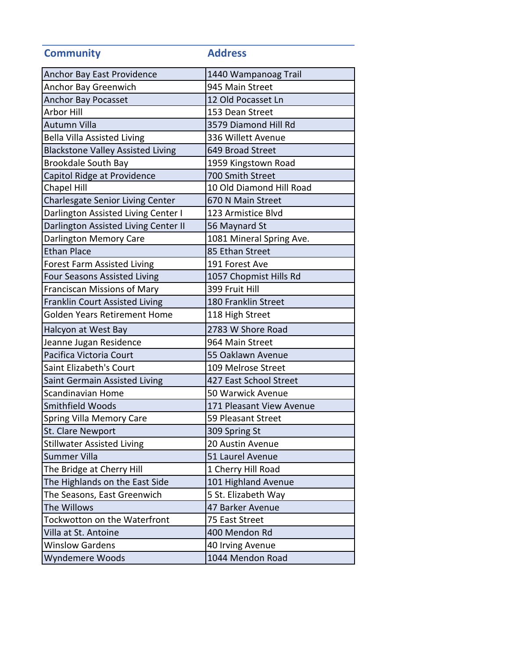| <b>Community</b>                         | <b>Address</b>           |  |
|------------------------------------------|--------------------------|--|
| Anchor Bay East Providence               | 1440 Wampanoag Trail     |  |
| Anchor Bay Greenwich                     | 945 Main Street          |  |
| Anchor Bay Pocasset                      | 12 Old Pocasset Ln       |  |
| <b>Arbor Hill</b>                        | 153 Dean Street          |  |
| Autumn Villa                             | 3579 Diamond Hill Rd     |  |
| <b>Bella Villa Assisted Living</b>       | 336 Willett Avenue       |  |
| <b>Blackstone Valley Assisted Living</b> | 649 Broad Street         |  |
| <b>Brookdale South Bay</b>               | 1959 Kingstown Road      |  |
| Capitol Ridge at Providence              | 700 Smith Street         |  |
| <b>Chapel Hill</b>                       | 10 Old Diamond Hill Road |  |
| <b>Charlesgate Senior Living Center</b>  | 670 N Main Street        |  |
| Darlington Assisted Living Center I      | 123 Armistice Blvd       |  |
| Darlington Assisted Living Center II     | 56 Maynard St            |  |
| Darlington Memory Care                   | 1081 Mineral Spring Ave. |  |
| <b>Ethan Place</b>                       | 85 Ethan Street          |  |
| <b>Forest Farm Assisted Living</b>       | 191 Forest Ave           |  |
| Four Seasons Assisted Living             | 1057 Chopmist Hills Rd   |  |
| Franciscan Missions of Mary              | 399 Fruit Hill           |  |
| Franklin Court Assisted Living           | 180 Franklin Street      |  |
| <b>Golden Years Retirement Home</b>      | 118 High Street          |  |
| Halcyon at West Bay                      | 2783 W Shore Road        |  |
| Jeanne Jugan Residence                   | 964 Main Street          |  |
| Pacifica Victoria Court                  | 55 Oaklawn Avenue        |  |
| Saint Elizabeth's Court                  | 109 Melrose Street       |  |
| Saint Germain Assisted Living            | 427 East School Street   |  |
| Scandinavian Home                        | 50 Warwick Avenue        |  |
| Smithfield Woods                         | 171 Pleasant View Avenue |  |
| <b>Spring Villa Memory Care</b>          | 59 Pleasant Street       |  |
| St. Clare Newport                        | 309 Spring St            |  |
| <b>Stillwater Assisted Living</b>        | 20 Austin Avenue         |  |
| <b>Summer Villa</b>                      | 51 Laurel Avenue         |  |
| The Bridge at Cherry Hill                | 1 Cherry Hill Road       |  |
| The Highlands on the East Side           | 101 Highland Avenue      |  |
| The Seasons, East Greenwich              | 5 St. Elizabeth Way      |  |
| The Willows                              | 47 Barker Avenue         |  |
| <b>Tockwotton on the Waterfront</b>      | 75 East Street           |  |
| Villa at St. Antoine                     | 400 Mendon Rd            |  |
| <b>Winslow Gardens</b>                   | 40 Irving Avenue         |  |
| Wyndemere Woods                          | 1044 Mendon Road         |  |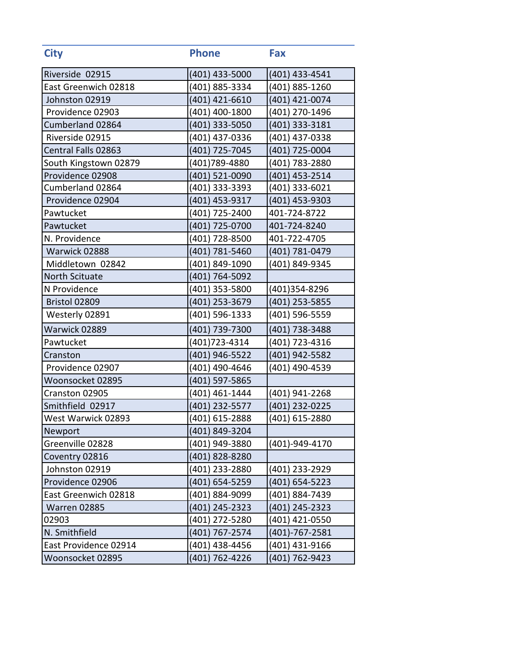| <b>City</b>           | <b>Phone</b>   | Fax            |
|-----------------------|----------------|----------------|
| Riverside 02915       | (401) 433-5000 | (401) 433-4541 |
| East Greenwich 02818  | (401) 885-3334 | (401) 885-1260 |
| Johnston 02919        | (401) 421-6610 | (401) 421-0074 |
| Providence 02903      | (401) 400-1800 | (401) 270-1496 |
| Cumberland 02864      | (401) 333-5050 | (401) 333-3181 |
| Riverside 02915       | (401) 437-0336 | (401) 437-0338 |
| Central Falls 02863   | (401) 725-7045 | (401) 725-0004 |
| South Kingstown 02879 | (401)789-4880  | (401) 783-2880 |
| Providence 02908      | (401) 521-0090 | (401) 453-2514 |
| Cumberland 02864      | (401) 333-3393 | (401) 333-6021 |
| Providence 02904      | (401) 453-9317 | (401) 453-9303 |
| Pawtucket             | (401) 725-2400 | 401-724-8722   |
| Pawtucket             | (401) 725-0700 | 401-724-8240   |
| N. Providence         | (401) 728-8500 | 401-722-4705   |
| Warwick 02888         | (401) 781-5460 | (401) 781-0479 |
| Middletown 02842      | (401) 849-1090 | (401) 849-9345 |
| North Scituate        | (401) 764-5092 |                |
| N Providence          | (401) 353-5800 | (401)354-8296  |
| Bristol 02809         | (401) 253-3679 | (401) 253-5855 |
| Westerly 02891        | (401) 596-1333 | (401) 596-5559 |
| Warwick 02889         | (401) 739-7300 | (401) 738-3488 |
| Pawtucket             | (401)723-4314  | (401) 723-4316 |
| Cranston              | (401) 946-5522 | (401) 942-5582 |
| Providence 02907      | (401) 490-4646 | (401) 490-4539 |
| Woonsocket 02895      | (401) 597-5865 |                |
| Cranston 02905        | (401) 461-1444 | (401) 941-2268 |
| Smithfield 02917      | (401) 232-5577 | (401) 232-0225 |
| West Warwick 02893    | (401) 615-2888 | (401) 615-2880 |
| Newport               | (401) 849-3204 |                |
| Greenville 02828      | (401) 949-3880 | (401)-949-4170 |
| Coventry 02816        | (401) 828-8280 |                |
| Johnston 02919        | (401) 233-2880 | (401) 233-2929 |
| Providence 02906      | (401) 654-5259 | (401) 654-5223 |
| East Greenwich 02818  | (401) 884-9099 | (401) 884-7439 |
| Warren 02885          | (401) 245-2323 | (401) 245-2323 |
| 02903                 | (401) 272-5280 | (401) 421-0550 |
| N. Smithfield         | (401) 767-2574 | (401)-767-2581 |
| East Providence 02914 | (401) 438-4456 | (401) 431-9166 |
| Woonsocket 02895      | (401) 762-4226 | (401) 762-9423 |